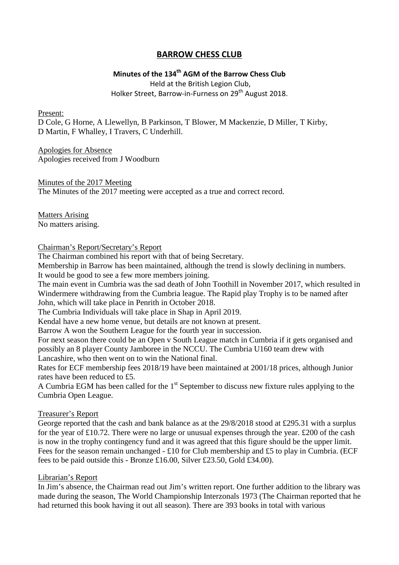## **BARROW CHESS CLUB**

# **Minutes of the 134th AGM of the Barrow Chess Club**

Held at the British Legion Club, Holker Street, Barrow-in-Furness on 29<sup>th</sup> August 2018.

Present:

D Cole, G Horne, A Llewellyn, B Parkinson, T Blower, M Mackenzie, D Miller, T Kirby, D Martin, F Whalley, I Travers, C Underhill.

Apologies for Absence Apologies received from J Woodburn

Minutes of the 2017 Meeting The Minutes of the 2017 meeting were accepted as a true and correct record.

Matters Arising No matters arising.

### Chairman's Report/Secretary's Report

The Chairman combined his report with that of being Secretary.

Membership in Barrow has been maintained, although the trend is slowly declining in numbers. It would be good to see a few more members joining.

The main event in Cumbria was the sad death of John Toothill in November 2017, which resulted in Windermere withdrawing from the Cumbria league. The Rapid play Trophy is to be named after John, which will take place in Penrith in October 2018.

The Cumbria Individuals will take place in Shap in April 2019.

Kendal have a new home venue, but details are not known at present.

Barrow A won the Southern League for the fourth year in succession.

For next season there could be an Open v South League match in Cumbria if it gets organised and possibly an 8 player County Jamboree in the NCCU. The Cumbria U160 team drew with Lancashire, who then went on to win the National final.

Rates for ECF membership fees 2018/19 have been maintained at 2001/18 prices, although Junior rates have been reduced to £5.

A Cumbria EGM has been called for the  $1<sup>st</sup>$  September to discuss new fixture rules applying to the Cumbria Open League.

## Treasurer's Report

George reported that the cash and bank balance as at the 29/8/2018 stood at £295.31 with a surplus for the year of £10.72. There were no large or unusual expenses through the year. £200 of the cash is now in the trophy contingency fund and it was agreed that this figure should be the upper limit. Fees for the season remain unchanged - £10 for Club membership and £5 to play in Cumbria. (ECF fees to be paid outside this - Bronze £16.00, Silver £23.50, Gold £34.00).

## Librarian's Report

In Jim's absence, the Chairman read out Jim's written report. One further addition to the library was made during the season, The World Championship Interzonals 1973 (The Chairman reported that he had returned this book having it out all season). There are 393 books in total with various